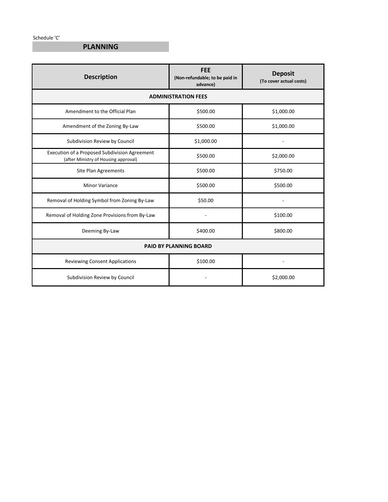Schedule 'C'

### **PLANNING**

| <b>Description</b>                                                                    | <b>FEE</b><br>(Non-refundable; to be paid in<br>advance) | <b>Deposit</b><br>(To cover actual costs) |
|---------------------------------------------------------------------------------------|----------------------------------------------------------|-------------------------------------------|
| <b>ADMINISTRATION FEES</b>                                                            |                                                          |                                           |
| Amendment to the Official Plan                                                        | \$500.00                                                 | \$1,000.00                                |
| Amendment of the Zoning By-Law                                                        | \$500.00                                                 | \$1,000.00                                |
| Subdivision Review by Council                                                         | \$1,000.00                                               |                                           |
| Execution of a Proposed Subdivision Agreement<br>(after Ministry of Housing approval) | \$500.00                                                 | \$2,000.00                                |
| Site Plan Agreements                                                                  | \$500.00                                                 | \$750.00                                  |
| <b>Minor Variance</b>                                                                 | \$500.00                                                 | \$500.00                                  |
| Removal of Holding Symbol from Zoning By-Law                                          | \$50.00                                                  |                                           |
| Removal of Holding Zone Provisions from By-Law                                        |                                                          | \$100.00                                  |
| Deeming By-Law                                                                        | \$400.00                                                 | \$800.00                                  |
| <b>PAID BY PLANNING BOARD</b>                                                         |                                                          |                                           |
| <b>Reviewing Consent Applications</b>                                                 | \$100.00                                                 |                                           |
| Subdivision Review by Council                                                         |                                                          | \$2,000.00                                |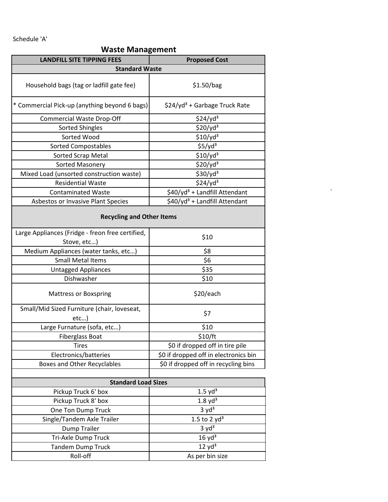Schedule 'A'

#### **Waste Management**

| <b>LANDFILL SITE TIPPING FEES</b>                  | <b>Proposed Cost</b>                      |  |
|----------------------------------------------------|-------------------------------------------|--|
| <b>Standard Waste</b>                              |                                           |  |
| Household bags (tag or ladfill gate fee)           | \$1.50/bag                                |  |
| * Commercial Pick-up (anything beyond 6 bags)      | \$24/yd <sup>3</sup> + Garbage Truck Rate |  |
| <b>Commercial Waste Drop-Off</b>                   | $$24$ /yd <sup>3</sup>                    |  |
| <b>Sorted Shingles</b>                             | $$20$ /yd <sup>3</sup>                    |  |
| Sorted Wood                                        | $$10$ /yd <sup>3</sup>                    |  |
| <b>Sorted Compostables</b>                         | $$5$ /yd <sup>3</sup>                     |  |
| Sorted Scrap Metal                                 | $$10$ /yd <sup>3</sup>                    |  |
| Sorted Masonery                                    | $$20$ /yd <sup>3</sup>                    |  |
| Mixed Load (unsorted construction waste)           | $$30$ /yd <sup>3</sup>                    |  |
| <b>Residential Waste</b>                           | $$24$ /yd <sup>3</sup>                    |  |
| <b>Contaminated Waste</b>                          | \$40/yd <sup>3</sup> + Landfill Attendant |  |
| Asbestos or Invasive Plant Species                 | \$40/yd <sup>3</sup> + Landfill Attendant |  |
| <b>Recycling and Other Items</b>                   |                                           |  |
| Large Appliances (Fridge - freon free certified,   | \$10                                      |  |
| Stove, etc)                                        |                                           |  |
| Medium Appliances (water tanks, etc)               | \$8                                       |  |
| <b>Small Metal Items</b>                           | \$6                                       |  |
| <b>Untagged Appliances</b>                         | \$35                                      |  |
| Dishwasher                                         | \$10                                      |  |
| <b>Mattress or Boxspring</b>                       | \$20/each                                 |  |
| Small/Mid Sized Furniture (chair, loveseat,<br>etc | \$7                                       |  |
| Large Furnature (sofa, etc)                        | \$10                                      |  |
| <b>Fiberglass Boat</b>                             | \$10/ft                                   |  |
| <b>Tires</b>                                       | \$0 if dropped off in tire pile           |  |
| Electronics/batteries                              | \$0 if dropped off in electronics bin     |  |
| <b>Boxes and Other Recyclables</b>                 | \$0 if dropped off in recycling bins      |  |
| <b>Standard Load Sizes</b>                         |                                           |  |
| Pickup Truck 6' box                                | $1.5$ yd <sup>3</sup>                     |  |
| Pickup Truck 8' box                                | $1.8$ yd <sup>3</sup>                     |  |
| One Ton Dump Truck                                 | 3 yd <sup>3</sup>                         |  |
| Single/Tandem Axle Trailer                         | 1.5 to 2 $yd^3$                           |  |
| <b>Dump Trailer</b>                                | 3 yd <sup>3</sup>                         |  |
| Tri-Axle Dump Truck                                | 16 yd <sup>3</sup>                        |  |
| <b>Tandem Dump Truck</b>                           | $12 \text{ yd}^3$                         |  |
| Roll-off                                           | As per bin size                           |  |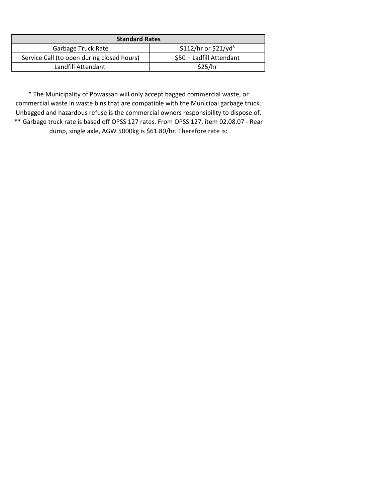| <b>Standard Rates</b>                      |                          |
|--------------------------------------------|--------------------------|
| <b>Garbage Truck Rate</b>                  | $$112/hr$ or $$21/vd3$   |
| Service Call (to open during closed hours) | \$50 + Ladfill Attendant |
| Landfill Attendant                         | \$25/hr                  |

\* The Municipality of Powassan will only accept bagged commercial waste, or commercial waste in waste bins that are compatible with the Municipal garbage truck. Unbagged and hazardous refuse is the commercial owners responsibility to dispose of. \*\* Garbage truck rate is based off OPSS 127 rates. From OPSS 127, item 02.08.07 - Rear

dump, single axle, AGW 5000kg is \$61.80/hr. Therefore rate is: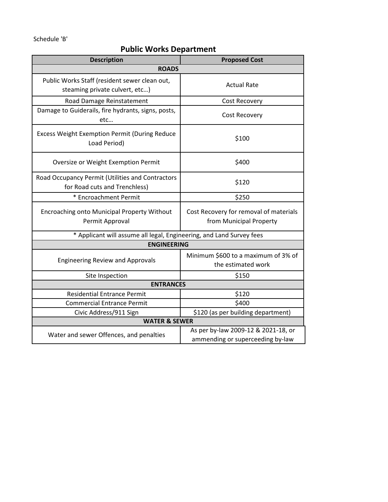Schedule 'B'

### **Public Works Department**

| <b>Description</b>                                                                | <b>Proposed Cost</b>                                              |  |
|-----------------------------------------------------------------------------------|-------------------------------------------------------------------|--|
| <b>ROADS</b>                                                                      |                                                                   |  |
| Public Works Staff (resident sewer clean out,<br>steaming private culvert, etc)   | <b>Actual Rate</b>                                                |  |
| Road Damage Reinstatement                                                         | Cost Recovery                                                     |  |
| Damage to Guiderails, fire hydrants, signs, posts,<br>etc                         | Cost Recovery                                                     |  |
| <b>Excess Weight Exemption Permit (During Reduce</b><br>Load Period)              | \$100                                                             |  |
| Oversize or Weight Exemption Permit                                               | \$400                                                             |  |
| Road Occupancy Permit (Utilities and Contractors<br>for Road cuts and Trenchless) | \$120                                                             |  |
| * Encroachment Permit                                                             | \$250                                                             |  |
| Encroaching onto Municipal Property Without<br>Permit Approval                    | Cost Recovery for removal of materials<br>from Municipal Property |  |
| * Applicant will assume all legal, Engineering, and Land Survey fees              |                                                                   |  |
| <b>ENGINEERING</b>                                                                |                                                                   |  |
| <b>Engineering Review and Approvals</b>                                           | Minimum \$600 to a maximum of 3% of<br>the estimated work         |  |
| Site Inspection                                                                   | \$150                                                             |  |
| <b>ENTRANCES</b>                                                                  |                                                                   |  |
| <b>Residential Entrance Permit</b>                                                | \$120                                                             |  |
| <b>Commercial Entrance Permit</b>                                                 | \$400                                                             |  |
| Civic Address/911 Sign                                                            | \$120 (as per building department)                                |  |
| <b>WATER &amp; SEWER</b>                                                          |                                                                   |  |
| Water and sewer Offences, and penalties                                           | As per by-law 2009-12 & 2021-18, or                               |  |
|                                                                                   | ammending or superceeding by-law                                  |  |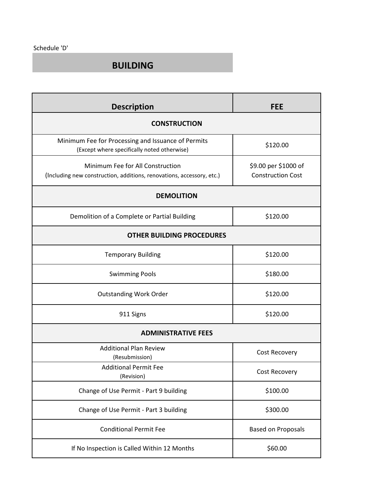#### **BUILDING**

| <b>Description</b>                                                                                        | <b>FEE</b>                                       |  |
|-----------------------------------------------------------------------------------------------------------|--------------------------------------------------|--|
| <b>CONSTRUCTION</b>                                                                                       |                                                  |  |
| Minimum Fee for Processing and Issuance of Permits<br>(Except where specifically noted otherwise)         | \$120.00                                         |  |
| Minimum Fee for All Construction<br>(Including new construction, additions, renovations, accessory, etc.) | \$9.00 per \$1000 of<br><b>Construction Cost</b> |  |
| <b>DEMOLITION</b>                                                                                         |                                                  |  |
| Demolition of a Complete or Partial Building                                                              | \$120.00                                         |  |
| <b>OTHER BUILDING PROCEDURES</b>                                                                          |                                                  |  |
| <b>Temporary Building</b>                                                                                 | \$120.00                                         |  |
| <b>Swimming Pools</b>                                                                                     | \$180.00                                         |  |
| <b>Outstanding Work Order</b>                                                                             | \$120.00                                         |  |
| 911 Signs                                                                                                 | \$120.00                                         |  |
| <b>ADMINISTRATIVE FEES</b>                                                                                |                                                  |  |
| <b>Additional Plan Review</b><br>(Resubmission)                                                           | Cost Recovery                                    |  |
| <b>Additional Permit Fee</b><br>(Revision)                                                                | Cost Recovery                                    |  |
| Change of Use Permit - Part 9 building                                                                    | \$100.00                                         |  |
| Change of Use Permit - Part 3 building                                                                    | \$300.00                                         |  |
| <b>Conditional Permit Fee</b>                                                                             | <b>Based on Proposals</b>                        |  |
| If No Inspection is Called Within 12 Months                                                               | \$60.00                                          |  |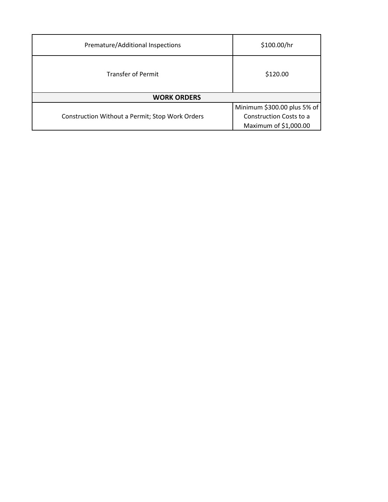| Premature/Additional Inspections                | \$100.00/hr                 |  |
|-------------------------------------------------|-----------------------------|--|
| <b>Transfer of Permit</b>                       | \$120.00                    |  |
| <b>WORK ORDERS</b>                              |                             |  |
|                                                 | Minimum \$300.00 plus 5% of |  |
| Construction Without a Permit; Stop Work Orders | Construction Costs to a     |  |
|                                                 | Maximum of \$1,000.00       |  |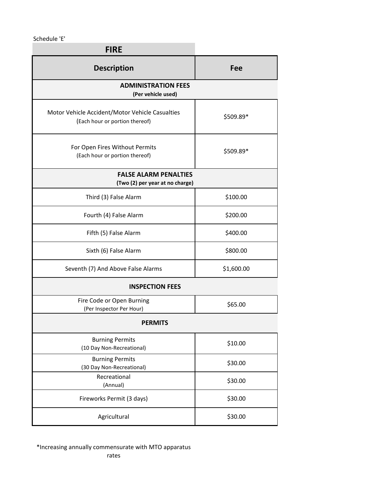Schedule 'E'

| <b>FIRE</b>                                                                       |            |  |
|-----------------------------------------------------------------------------------|------------|--|
| <b>Description</b>                                                                | Fee        |  |
| <b>ADMINISTRATION FEES</b><br>(Per vehicle used)                                  |            |  |
| Motor Vehicle Accident/Motor Vehicle Casualties<br>(Each hour or portion thereof) | \$509.89*  |  |
| For Open Fires Without Permits<br>(Each hour or portion thereof)                  | \$509.89*  |  |
| <b>FALSE ALARM PENALTIES</b><br>(Two (2) per year at no charge)                   |            |  |
| Third (3) False Alarm                                                             | \$100.00   |  |
| Fourth (4) False Alarm                                                            | \$200.00   |  |
| Fifth (5) False Alarm                                                             | \$400.00   |  |
| Sixth (6) False Alarm                                                             | \$800.00   |  |
| Seventh (7) And Above False Alarms                                                | \$1,600.00 |  |
| <b>INSPECTION FEES</b>                                                            |            |  |
| Fire Code or Open Burning<br>(Per Inspector Per Hour)                             | \$65.00    |  |
| <b>PERMITS</b>                                                                    |            |  |
| <b>Burning Permits</b><br>(10 Day Non-Recreational)                               | \$10.00    |  |
| <b>Burning Permits</b><br>(30 Day Non-Recreational)                               | \$30.00    |  |
| Recreational<br>(Annual)                                                          | \$30.00    |  |
| Fireworks Permit (3 days)                                                         | \$30.00    |  |
| Agricultural                                                                      | \$30.00    |  |

\*Increasing annually commensurate with MTO apparatus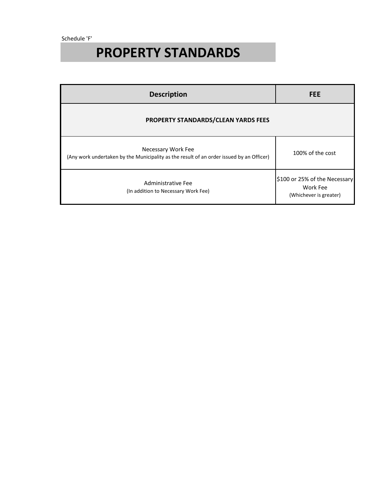Schedule 'F'

# **PROPERTY STANDARDS**

| <b>Description</b>                                                                                             | <b>FEE</b>                                                          |
|----------------------------------------------------------------------------------------------------------------|---------------------------------------------------------------------|
| <b>PROPERTY STANDARDS/CLEAN YARDS FEES</b>                                                                     |                                                                     |
| Necessary Work Fee<br>(Any work undertaken by the Municipality as the result of an order issued by an Officer) | 100% of the cost                                                    |
| Administrative Fee<br>(In addition to Necessary Work Fee)                                                      | \$100 or 25% of the Necessary<br>Work Fee<br>(Whichever is greater) |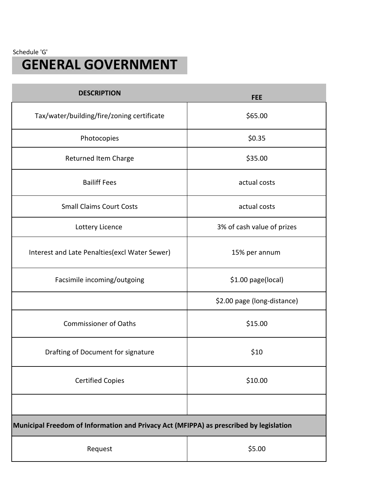Schedule 'G'

## **GENERAL GOVERNMENT**

| <b>DESCRIPTION</b>                                                                     | <b>FEE</b>                  |
|----------------------------------------------------------------------------------------|-----------------------------|
| Tax/water/building/fire/zoning certificate                                             | \$65.00                     |
| Photocopies                                                                            | \$0.35                      |
| Returned Item Charge                                                                   | \$35.00                     |
| <b>Bailiff Fees</b>                                                                    | actual costs                |
| <b>Small Claims Court Costs</b>                                                        | actual costs                |
| Lottery Licence                                                                        | 3% of cash value of prizes  |
| Interest and Late Penalties (excl Water Sewer)                                         | 15% per annum               |
| Facsimile incoming/outgoing                                                            | \$1.00 page(local)          |
|                                                                                        | \$2.00 page (long-distance) |
| <b>Commissioner of Oaths</b>                                                           | \$15.00                     |
| Drafting of Document for signature                                                     | \$10                        |
| <b>Certified Copies</b>                                                                | \$10.00                     |
|                                                                                        |                             |
| Municipal Freedom of Information and Privacy Act (MFIPPA) as prescribed by legislation |                             |
| Request                                                                                | \$5.00                      |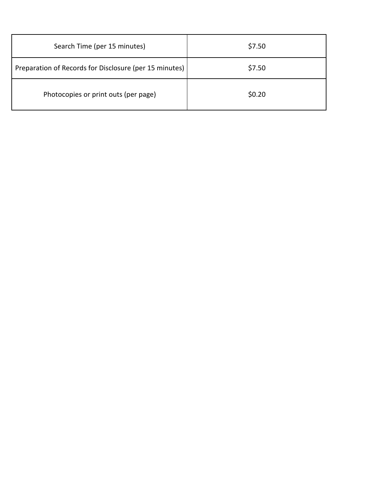| Search Time (per 15 minutes)                           | \$7.50 |
|--------------------------------------------------------|--------|
| Preparation of Records for Disclosure (per 15 minutes) | \$7.50 |
| Photocopies or print outs (per page)                   | \$0.20 |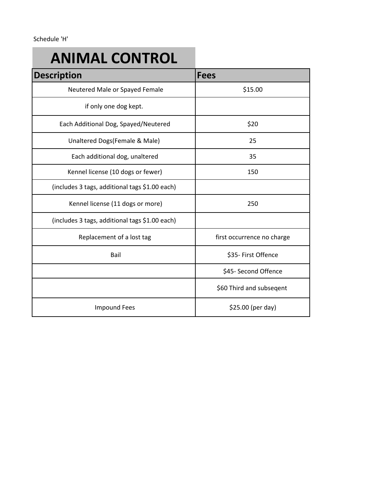# **ANIMAL CONTROL**

| <b>Description</b>                             | <b>Fees</b>                |
|------------------------------------------------|----------------------------|
| Neutered Male or Spayed Female                 | \$15.00                    |
| if only one dog kept.                          |                            |
| Each Additional Dog, Spayed/Neutered           | \$20                       |
| Unaltered Dogs(Female & Male)                  | 25                         |
| Each additional dog, unaltered                 | 35                         |
| Kennel license (10 dogs or fewer)              | 150                        |
| (includes 3 tags, additional tags \$1.00 each) |                            |
| Kennel license (11 dogs or more)               | 250                        |
| (includes 3 tags, additional tags \$1.00 each) |                            |
| Replacement of a lost tag                      | first occurrence no charge |
| Bail                                           | \$35- First Offence        |
|                                                | \$45- Second Offence       |
|                                                | \$60 Third and subseqent   |
| <b>Impound Fees</b>                            | \$25.00 (per day)          |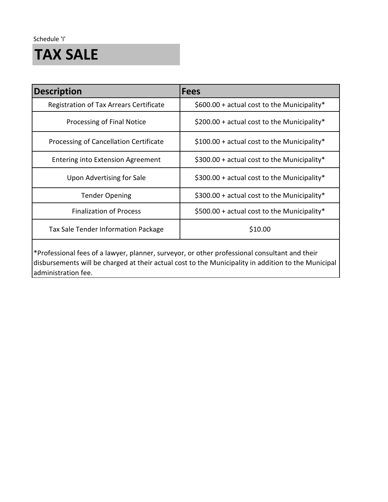Schedule 'I'

## **TAX SALE**

| <b>Description</b>                             | <b>Fees</b>                                  |
|------------------------------------------------|----------------------------------------------|
| <b>Registration of Tax Arrears Certificate</b> | \$600.00 + actual cost to the Municipality*  |
| Processing of Final Notice                     | \$200.00 + actual cost to the Municipality*  |
| Processing of Cancellation Certificate         | $$100.00 + actual cost$ to the Municipality* |
| <b>Entering into Extension Agreement</b>       | $$300.00 + actual cost$ to the Municipality* |
| Upon Advertising for Sale                      | $$300.00 + actual cost$ to the Municipality* |
| <b>Tender Opening</b>                          | $$300.00 + actual cost to the Municipality*$ |
| <b>Finalization of Process</b>                 | $$500.00 + actual cost$ to the Municipality* |
| Tax Sale Tender Information Package            | \$10.00                                      |
|                                                |                                              |

\*Professional fees of a lawyer, planner, surveyor, or other professional consultant and their disbursements will be charged at their actual cost to the Municipality in addition to the Municipal administration fee.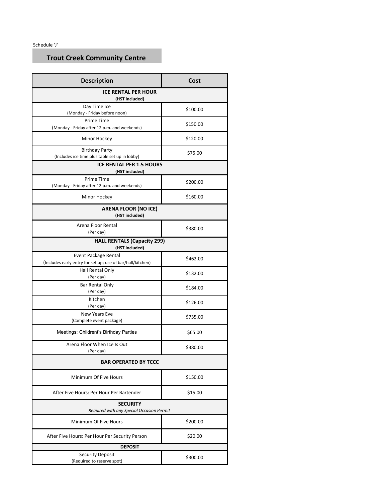Schedule 'J'

### **Trout Creek Community Centre**

| <b>Description</b>                                                                 | Cost     |  |  |
|------------------------------------------------------------------------------------|----------|--|--|
| <b>ICE RENTAL PER HOUR</b><br>(HST included)                                       |          |  |  |
| Day Time Ice<br>(Monday - Friday before noon)                                      | \$100.00 |  |  |
| <b>Prime Time</b><br>(Monday - Friday after 12 p.m. and weekends)                  | \$150.00 |  |  |
| Minor Hockey                                                                       | \$120.00 |  |  |
| <b>Birthday Party</b><br>(Includes ice time plus table set up in lobby)            | \$75.00  |  |  |
| <b>ICE RENTAL PER 1.5 HOURS</b><br>(HST included)                                  |          |  |  |
| <b>Prime Time</b><br>(Monday - Friday after 12 p.m. and weekends)                  | \$200.00 |  |  |
| Minor Hockey                                                                       | \$160.00 |  |  |
| <b>ARENA FLOOR (NO ICE)</b><br>(HST included)                                      |          |  |  |
| Arena Floor Rental<br>(Per day)                                                    | \$380.00 |  |  |
| <b>HALL RENTALS (Capacity 299)</b><br>(HST included)                               |          |  |  |
| Event Package Rental<br>(Includes early entry for set up; use of bar/hall/kitchen) | \$462.00 |  |  |
| Hall Rental Only<br>(Per day)                                                      | \$132.00 |  |  |
| Bar Rental Only<br>(Per day)                                                       | \$184.00 |  |  |
| Kitchen<br>(Per day)                                                               | \$126.00 |  |  |
| <b>New Years Eve</b><br>(Complete event package)                                   | \$735.00 |  |  |
| Meetings; Childrent's Birthday Parties                                             | \$65.00  |  |  |
| Arena Floor When Ice Is Out<br>(Per day)                                           | \$380.00 |  |  |
| <b>BAR OPERATED BY TCCC</b>                                                        |          |  |  |
| Minimum Of Five Hours                                                              | \$150.00 |  |  |
| After Five Hours: Per Hour Per Bartender                                           | \$15.00  |  |  |
| <b>SECURITY</b><br>Required with any Special Occasion Permit                       |          |  |  |
| Minimum Of Five Hours                                                              | \$200.00 |  |  |
| After Five Hours: Per Hour Per Security Person                                     | \$20.00  |  |  |
| <b>DEPOSIT</b>                                                                     |          |  |  |
| <b>Security Deposit</b><br>(Required to reserve spot)                              | \$300.00 |  |  |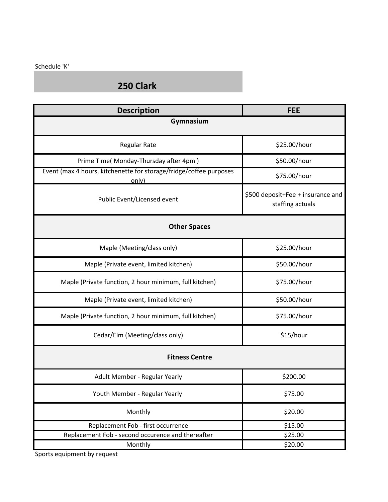#### Schedule 'K'

### **250 Clark**

| <b>Description</b>                                                          | <b>FEE</b>                                            |  |  |  |
|-----------------------------------------------------------------------------|-------------------------------------------------------|--|--|--|
| Gymnasium                                                                   |                                                       |  |  |  |
| <b>Regular Rate</b>                                                         | \$25.00/hour                                          |  |  |  |
| Prime Time(Monday-Thursday after 4pm)                                       | \$50.00/hour                                          |  |  |  |
| Event (max 4 hours, kitchenette for storage/fridge/coffee purposes<br>only) | \$75.00/hour                                          |  |  |  |
| Public Event/Licensed event                                                 | \$500 deposit+Fee + insurance and<br>staffing actuals |  |  |  |
| <b>Other Spaces</b>                                                         |                                                       |  |  |  |
| Maple (Meeting/class only)                                                  | \$25.00/hour                                          |  |  |  |
| Maple (Private event, limited kitchen)                                      | \$50.00/hour                                          |  |  |  |
| Maple (Private function, 2 hour minimum, full kitchen)                      | \$75.00/hour                                          |  |  |  |
| Maple (Private event, limited kitchen)                                      | \$50.00/hour                                          |  |  |  |
| Maple (Private function, 2 hour minimum, full kitchen)                      | \$75.00/hour                                          |  |  |  |
| Cedar/Elm (Meeting/class only)                                              | \$15/hour                                             |  |  |  |
| <b>Fitness Centre</b>                                                       |                                                       |  |  |  |
| Adult Member - Regular Yearly                                               | \$200.00                                              |  |  |  |
| Youth Member - Regular Yearly                                               | \$75.00                                               |  |  |  |
| Monthly                                                                     | \$20.00                                               |  |  |  |
| Replacement Fob - first occurrence                                          | \$15.00                                               |  |  |  |
| Replacement Fob - second occurence and thereafter                           | \$25.00                                               |  |  |  |
| Monthly                                                                     | \$20.00                                               |  |  |  |

Sports equipment by request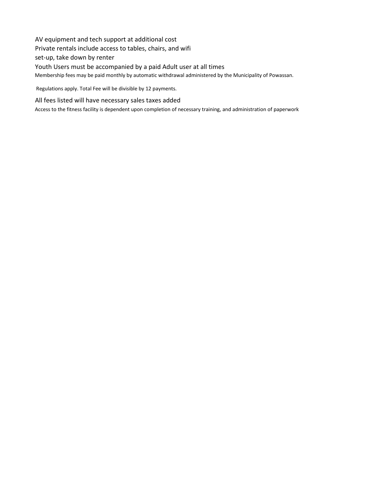AV equipment and tech support at additional cost Private rentals include access to tables, chairs, and wifi set-up, take down by renter Youth Users must be accompanied by a paid Adult user at all times Membership fees may be paid monthly by automatic withdrawal administered by the Municipality of Powassan. Regulations apply. Total Fee will be divisible by 12 payments.

All fees listed will have necessary sales taxes added

Access to the fitness facility is dependent upon completion of necessary training, and administration of paperwork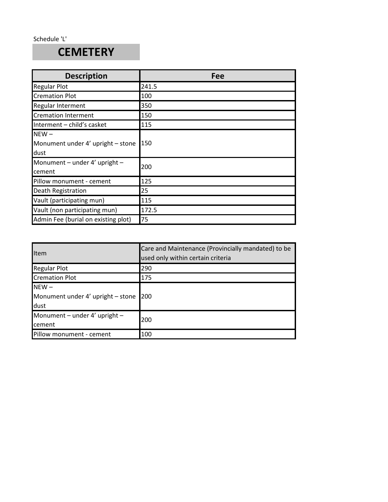### **CEMETERY**

| <b>Description</b>                                   | Fee   |
|------------------------------------------------------|-------|
| <b>Regular Plot</b>                                  | 241.5 |
| <b>Cremation Plot</b>                                | 100   |
| Regular Interment                                    | 350   |
| <b>Cremation Interment</b>                           | 150   |
| Interment - child's casket                           | 115   |
| $NEW -$<br>Monument under 4' upright - stone<br>dust | 150   |
| Monument – under $4'$ upright –<br>cement            | 200   |
| Pillow monument - cement                             | 125   |
| <b>Death Registration</b>                            | 25    |
| Vault (participating mun)                            | 115   |
| Vault (non participating mun)                        | 172.5 |
| Admin Fee (burial on existing plot)                  | 75    |

| Item                                                 | Care and Maintenance (Provincially mandated) to be<br>used only within certain criteria |
|------------------------------------------------------|-----------------------------------------------------------------------------------------|
| <b>Regular Plot</b>                                  | 290                                                                                     |
| <b>Cremation Plot</b>                                | 175                                                                                     |
| $NEW -$<br>Monument under 4' upright - stone<br>dust | 200                                                                                     |
| Monument – under $4'$ upright –<br>cement            | 200                                                                                     |
| Pillow monument - cement                             | 100                                                                                     |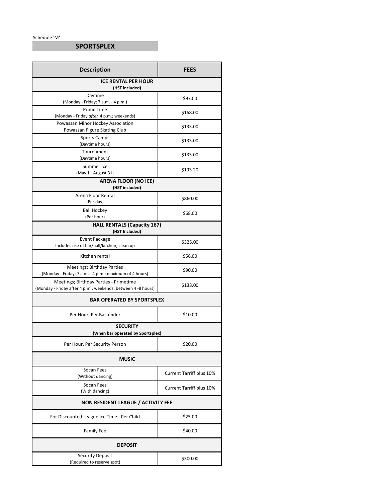Schedule 'M'

### **SPORTSPLEX**

| <b>Description</b>                                                                                     | <b>FEES</b>                     |  |  |
|--------------------------------------------------------------------------------------------------------|---------------------------------|--|--|
| <b>ICE RENTAL PER HOUR</b><br>(HST included)                                                           |                                 |  |  |
| Daytime<br>(Monday - Friday; 7 a.m. - 4 p.m.)                                                          | \$97.00                         |  |  |
| <b>Prime Time</b><br>(Monday - Friday after 4 p.m.; weekends)                                          | \$168.00                        |  |  |
| Powassan Minor Hockey Association<br>Powassan Figure Skating Club                                      | \$133.00                        |  |  |
| <b>Sports Camps</b><br>(Daytime hours)                                                                 | \$133.00                        |  |  |
| Tournament<br>(Daytime hours)                                                                          | \$133.00                        |  |  |
| Summer Ice<br>(May 1 - August 31)                                                                      | \$193.20                        |  |  |
| <b>ARENA FLOOR (NO ICE)</b><br>(HST included)                                                          |                                 |  |  |
| Arena Floor Rental<br>(Per day)                                                                        | \$860.00                        |  |  |
| <b>Ball Hockey</b><br>(Per hour)                                                                       | \$68.00                         |  |  |
| <b>HALL RENTALS (Capacity 167)</b><br>(HST Included)                                                   |                                 |  |  |
| <b>Event Package</b><br>Includes use of bar/hall/kitchen; clean up                                     | \$325.00                        |  |  |
| Kitchen rental                                                                                         | \$56.00                         |  |  |
| <b>Meetings; Birthday Parties</b><br>(Monday - Friday; 7 a.m. - 4 p.m.; maximum of 4 hours)            | \$90.00                         |  |  |
| Meetings; Birthday Parties - Primetime<br>(Monday - Friday after 4 p.m.; weekends; between 4 -8 hours) | \$133.00                        |  |  |
| <b>BAR OPERATED BY SPORTSPLEX</b>                                                                      |                                 |  |  |
| Per Hour, Per Bartender                                                                                | \$10.00                         |  |  |
| <b>SECURITY</b><br>(When bar operated by Sportsplex)                                                   |                                 |  |  |
| Per Hour, Per Security Person                                                                          | \$20.00                         |  |  |
| <b>MUSIC</b>                                                                                           |                                 |  |  |
| Socan Fees<br>(Without dancing)                                                                        | <b>Current Tarriff plus 10%</b> |  |  |
| Socan Fees<br>(With dancing)                                                                           | <b>Current Tarriff plus 10%</b> |  |  |
| NON RESIDENT LEAGUE / ACTIVITY FEE                                                                     |                                 |  |  |
| For Discounted League Ice Time - Per Child                                                             | \$25.00                         |  |  |
| <b>Family Fee</b>                                                                                      | \$40.00                         |  |  |
| <b>DEPOSIT</b>                                                                                         |                                 |  |  |
| <b>Security Deposit</b><br>(Required to reserve spot)                                                  | \$300.00                        |  |  |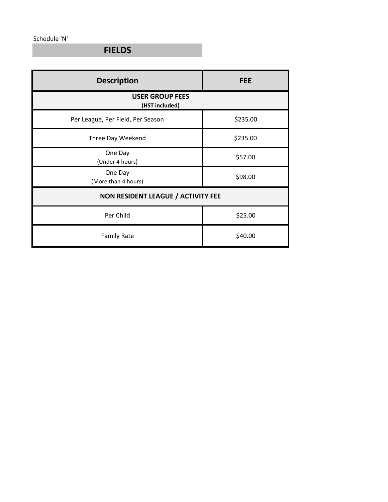Schedule 'N'

**FIELDS**

| <b>Description</b>                       | <b>FEE</b> |  |  |
|------------------------------------------|------------|--|--|
| <b>USER GROUP FEES</b><br>(HST included) |            |  |  |
| Per League, Per Field, Per Season        | \$235.00   |  |  |
| Three Day Weekend                        | \$235.00   |  |  |
| One Day<br>(Under 4 hours)               | \$57.00    |  |  |
| One Day<br>(More than 4 hours)           | \$98.00    |  |  |
| NON RESIDENT LEAGUE / ACTIVITY FEE       |            |  |  |
| Per Child                                | \$25.00    |  |  |
| <b>Family Rate</b>                       | \$40.00    |  |  |